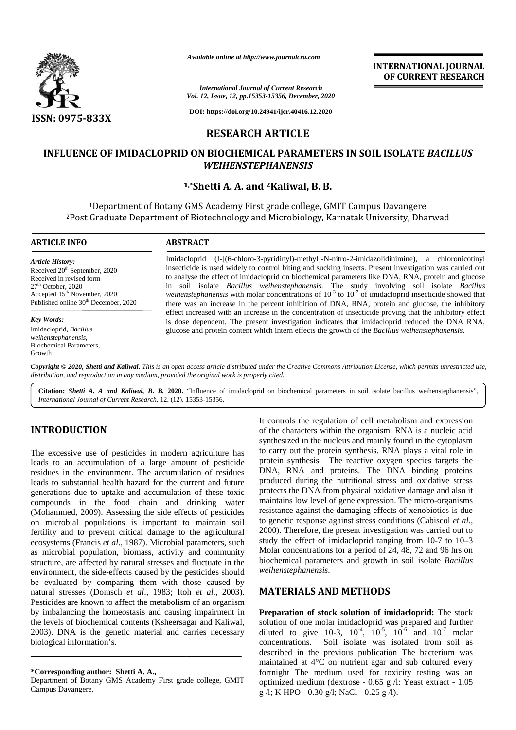

*Available online at http://www.journalcra.com*

*International Journal of Current Research Vol. 12, Issue, 12, pp.15353-15356, December, 2020*

**DOI: https://doi.org/10.24941/ijcr.40416.12.2020**

#### **RESEARCH ARTICLE**

# INFLUENCE OF IMIDACLOPRID ON BIOCHEMICAL PARAMETERS IN SOIL ISOLATE *BACILLUS*<br>*WEIHENSTEPHANENSIS*<br><sup>1,\*</sup>Shetti A. A. and <sup>2</sup>Kaliwal, B. B. *WEIHENSTEPHANENSIS*

#### **1,\*Shetti A. A. and <sup>2</sup>Kaliwal, B. B.**

<sup>1</sup>Department of Botany GMS Academy First grade college, GMIT Campus Davangere <sup>2</sup>Post Graduate Department of Biotechnology and Microbiology, Karnatak University, Dharwad

## **ARTICLE INFO ABSTRACT ARTICLE ABSTRACT**Imidacloprid (I-[(6-chloro-3-pyridinyl)-methyl]-N-nitro-2-imidazolidinimine), a chloronicotinyl insecticide is used widely to control biting and sucking insects. Present investigation was carried out to analyse the effect of imidacloprid on biochemical parameters like DNA, RNA, protein and glucose Imidacloprid (I-[(6-chloro-3-pyridinyl)-methyl]-N-nitro-2-imidazolidinimine), a chloronicotinyl insecticide is used widely to control biting and sucking insects. Present investigation was carried out to analyse the effect weihenstephanensis with molar concentrations of  $10^{-3}$  to  $10^{-7}$  of imidacloprid insecticide showed that there was an increase in the percent inhibition of DNA, RNA, protein and glucose, the inhibitory effect increased with an increase in the concentration of insecticide proving that the inhibitory effect is dose dependent. The present investigation indicates that imidacloprid reduced the DNA RNA, *Article History:* Received 20<sup>th</sup> September, 2020 Received in revised form 27<sup>th</sup> October, 2020 Accepted 15<sup>th</sup> November, 2020 Published online 30<sup>th</sup> December, 2020 *Key Words:* there was an increase in the percent inhibition of DNA, RNA, protein and glucose, the inhibitor effect increased with an increase in the concentration of insecticide proving that the inhibitor is dose dependent. The presen *Journalista Charameter And Source Complement And Source And Source And Source And Source And Source And Source And Source And Source And Source And Source And Source And Source And Source And Source And Source And Source*

Copyright © 2020, Shetti and Kaliwal. This is an open access article distributed under the Creative Commons Attribution License, which permits unrestricted use, *distribution, and reproduction in any medium, provided the original work is properly cited. distribution,any*

**Citation:** *Shetti A. A and Kaliwal, B. B.* 2020. "Influence of imidacloprid on biochemical parameters in soil isolate bacillus weihenstephanensis", *International Journal of Current Research*, 12, (12), 15353-15356.

### **INTRODUCTION INTRODUCTION**

Imidacloprid, *Bacillus weihenstephanensis*, Biochemical Parameters,

Growth

The excessive use of pesticides in modern agriculture has to leads to an accumulation of a large amount of pesticide residues in the environment. The accumulation of residues DN leads to substantial health hazard for the current and future generations due to uptake and accumulation of these toxic Prot compounds in the food chain and drinking water (Mohammed, 2009). Assessing the side effects of pesticides res on microbial populations is important to maintain soil fertility and to prevent critical damage to the agricultural  $\frac{2}{3}$ ecosystems (Francis *et al*., 1987). Microbial parameters, such as microbial population, biomass, activity and community structure, are affected by natural stresses and fluctuate in the environment, the side-effects caused by the pesticides should be evaluated by comparing them with those caused by ecosystems (Francis *et al.*, 1987). Microbial parameters, such<br>as microbial population, biomass, activity and community<br>structure, are affected by natural stresses and fluctuate in the<br>environment, the side-effects caused Pesticides are known to affect the metabolism of an organism by imbalancing the homeostasis and causing impairment in Prep the levels of biochemical contents (Ksheersagar and Kaliwal, 2003). DNA is the genetic material and carries necessary biological information's. biological leads to an accumulation of a large amount of pesticide prot<br>residues in the environment. The accumulation of residues DN<br>leads to substantial health hazard for the current and future proo compounds in the food chain and drinking water<br>(Mohammed, 2009). Assessing the side effects of pesticides<br>on microbial populations is important to maintain soil Pesticides are known to affect the met<br>by imbalancing the homeostasis and<br>the levels of biochemical contents (Ks<br>2003). DNA is the genetic material **CARRIE 1987**<br>
SERVICE DE MARINE DE CARRIE DE CARRIE DE CARRIE DE CARRIE DE CARRIE DE CARRIE DE CARRIE DE CARRIE DE CARRIE DE CARRIE DE CARRIE DE CARRIE DE CARRIE DE CARRIE DE CARRIE DE CARRIE DE CARRIE DE CARRIE DE CARRI

**\*Corresponding author: Shetti A. A., \*Corresponding A.,**

Department of Botany GMS Academy First grade college, GMIT Campus Davangere.

It controls the regulation of cell metabolism and expression of the characters within the organism. RNA is a nucleic acid synthesized in the nucleus and mainly found in the cytoplasm to carry out the protein synthesis. RNA plays a vital role in protein synthesis. The reactive oxygen species targets the DNA, RNA and proteins. The DNA binding proteins produced during the nutritional stress and oxidative stress protects the DNA from physical oxidative damage and also it maintains low level of gene expression. The micro-organisms resistance against the damaging effects of xenobiotics is due to genetic response against stress conditions (Cabiscol *et al*., 2000). Therefore, the present investigation was carried out to study the effect of imidacloprid ranging from 10-7 to 10–3 Molar concentrations for a period of 24, 48, 72 and 96 hrs on biochemical parameters and growth in soil isolate *Bacillus weihenstephanensis*. f pesticides in modern agriculture has<br>to carry out the protein synthesis. RNA plays a vital role in<br>ation of a large amount of pesticide protein synthesis. The reactive oxygen species targets the<br>omment. The accumulation al of Current Research<br>
al of Current Research<br>
553-15356, December, 2020<br>
1.24941/hjcr.40416.12.2020<br> **1.24941/hjcr.40416.12.2020**<br> **1.24841/hjcr.40416.12.2020**<br> **1.2481.1Wall B.B.**<br> **3.25356, December, 2020**<br> **1.2481.1Wa** 

**INTERNATIONAL JOURNAL OF CURRENT RESEARCH**

#### **MATERIALS AND METHODS**

glucose and protein content which intern effects the growth of the *Bacillus weihenstephanensis*.

**Preparation of stock solution of imidacloprid:** The stock solution of one molar imidacloprid was prepared and further diluted to give 10-3,  $10^{-4}$ ,  $10^{-5}$ ,  $10^{-6}$  and  $10^{-7}$  molar concentrations. Soil isolate was isolated from soil as described in the previous publication The bacterium was maintained at 4°C on nutrient agar and sub cultured every fortnight The medium used for toxicity testing was an optimized medium (dextrose - 0.65 g /l: Yeast extract - 1.05 g /l; K HPO - 0.30 g/l; NaCl - 0.25 g /l).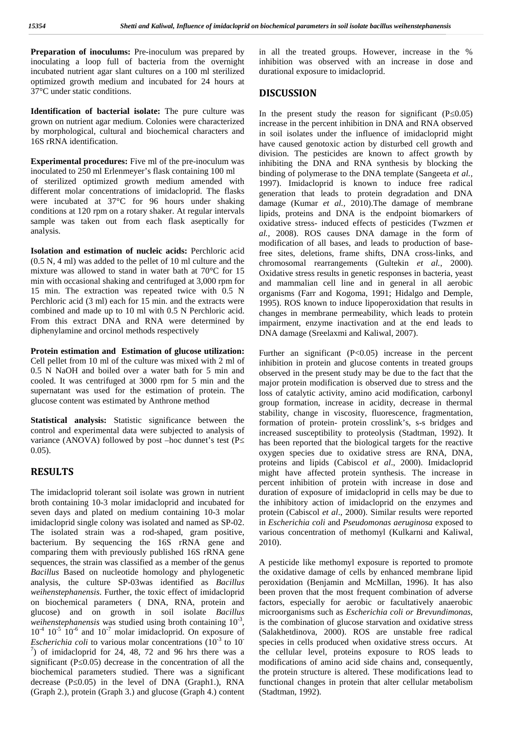**Preparation of inoculums:** Pre-inoculum was prepared by inoculating a loop full of bacteria from the overnight incubated nutrient agar slant cultures on a 100 ml sterilized optimized growth medium and incubated for 24 hours at 37°C under static conditions.

**Identification of bacterial isolate:** The pure culture was grown on nutrient agar medium. Colonies were characterized by morphological, cultural and biochemical characters and 16S rRNA identification.

**Experimental procedures:** Five ml of the pre-inoculum was inoculated to 250 ml Erlenmeyer's flask containing 100 ml of sterilized optimized growth medium amended with different molar concentrations of imidacloprid. The flasks were incubated at 37°C for 96 hours under shaking conditions at 120 rpm on a rotary shaker. At regular intervals sample was taken out from each flask aseptically for analysis.

**Isolation and estimation of nucleic acids:** Perchloric acid (0.5 N, 4 ml) was added to the pellet of 10 ml culture and the mixture was allowed to stand in water bath at 70°C for 15 min with occasional shaking and centrifuged at 3,000 rpm for 15 min. The extraction was repeated twice with 0.5 N Perchloric acid (3 ml) each for 15 min. and the extracts were combined and made up to 10 ml with 0.5 N Perchloric acid. From this extract DNA and RNA were determined by diphenylamine and orcinol methods respectively

**Protein estimation and Estimation of glucose utilization:** Cell pellet from 10 ml of the culture was mixed with 2 ml of 0.5 N NaOH and boiled over a water bath for 5 min and cooled. It was centrifuged at 3000 rpm for 5 min and the supernatant was used for the estimation of protein. The glucose content was estimated by Anthrone method

**Statistical analysis:** Statistic significance between the control and experimental data were subjected to analysis of variance (ANOVA) followed by post –hoc dunnet's test (P 0.05).

#### **RESULTS**

The imidacloprid tolerant soil isolate was grown in nutrient broth containing 10-3 molar imidacloprid and incubated for seven days and plated on medium containing 10-3 molar imidacloprid single colony was isolated and named as SP-02. The isolated strain was a rod-shaped, gram positive, bacterium. By sequencing the 16S rRNA gene and comparing them with previously published 16S rRNA gene sequences, the strain was classified as a member of the genus *Bacillus* Based on nucleotide homology and phylogenetic analysis, the culture SP-03was identified as *Bacillus weihenstephanensis*. Further, the toxic effect of imidacloprid on biochemical parameters ( DNA, RNA, protein and glucose) and on growth in soil isolate *Bacillus weihenstephanensis* was studied using broth containing  $10^{-3}$ , is  $10^{-4}$   $10^{-5}$   $10^{-6}$  and  $10^{-7}$  molar imidacloprid. On exposure of *Escherichia coli* to various molar concentrations  $(10^{-3}$  to 10<sup>-</sup> spec<sup>7</sup>) of imidacloprid for 24, 48, 72 and 96 hrs there was a the significant (P $(0.05)$  decrease in the concentration of all the biochemical parameters studied. There was a significant decrease  $(P_0.05)$  in the level of DNA (Graph1.), RNA (Graph 2.), protein (Graph 3.) and glucose (Graph 4.) content

in all the treated groups. However, increase in the % inhibition was observed with an increase in dose and durational exposure to imidacloprid.

#### **DISCUSSION**

In the present study the reason for significant  $(P<sub>0.05</sub>)$ increase in the percent inhibition in DNA and RNA observed in soil isolates under the influence of imidacloprid might have caused genotoxic action by disturbed cell growth and division. The pesticides are known to affect growth by inhibiting the DNA and RNA synthesis by blocking the binding of polymerase to the DNA template (Sangeeta *et al.,* 1997). Imidacloprid is known to induce free radical generation that leads to protein degradation and DNA damage (Kumar *et al.,* 2010).The damage of membrane lipids, proteins and DNA is the endpoint biomarkers of oxidative stress- induced effects of pesticides (Twzmen *et al.,* 2008). ROS causes DNA damage in the form of modification of all bases, and leads to production of basefree sites, deletions, frame shifts, DNA cross-links, and chromosomal rearrangements (Gultekin *et al.,* 2000). Oxidative stress results in genetic responses in bacteria, yeast and mammalian cell line and in general in all aerobic organisms (Farr and Kogoma, 1991; Hidalgo and Demple, 1995). ROS known to induce lipoperoxidation that results in changes in membrane permeability, which leads to protein impairment, enzyme inactivation and at the end leads to DNA damage (Sreelaxmi and Kaliwal, 2007).

Further an significant  $(P<0.05)$  increase in the percent inhibition in protein and glucose contents in treated groups observed in the present study may be due to the fact that the major protein modification is observed due to stress and the loss of catalytic activity, amino acid modification, carbonyl group formation, increase in acidity, decrease in thermal stability, change in viscosity, fluorescence, fragmentation, formation of protein- protein crosslink's, s-s bridges and increased susceptibility to proteolysis (Stadtman, 1992). It has been reported that the biological targets for the reactive oxygen species due to oxidative stress are RNA, DNA, proteins and lipids (Cabiscol *et al*., 2000). Imidacloprid might have affected protein synthesis. The increase in percent inhibition of protein with increase in dose and duration of exposure of imidacloprid in cells may be due to the inhibitory action of imidacloprid on the enzymes and protein (Cabiscol *et al*., 2000). Similar results were reported in *Escherichia coli* and *Pseudomonas aeruginosa* exposed to various concentration of methomyl (Kulkarni and Kaliwal, 2010).

A pesticide like methomyl exposure is reported to promote the oxidative damage of cells by enhanced membrane lipid peroxidation (Benjamin and McMillan, 1996). It has also been proven that the most frequent combination of adverse factors, especially for aerobic or facultatively anaerobic microorganisms such as *Escherichia coli or Brevundimonas*, is the combination of glucose starvation and oxidative stress (Salakhetdinova, 2000). ROS are unstable free radical species in cells produced when oxidative stress occurs. At the cellular level, proteins exposure to ROS leads to modifications of amino acid side chains and, consequently, the protein structure is altered. These modifications lead to functional changes in protein that alter cellular metabolism (Stadtman, 1992).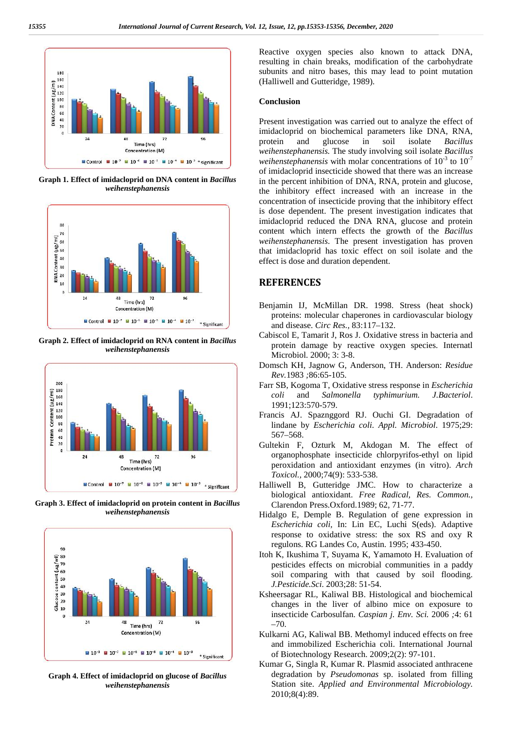

**Graph 1. Effect of imidacloprid on DNA content in** *Bacillus weihenstephanensis*



**Graph 2. Effect of imidacloprid on RNA content in** *Bacillus weihenstephanensis*



**Graph 3. Effect of imidacloprid on protein content in** *Bacillus weihenstephanensis*



**Graph 4. Effect of imidacloprid on glucose of** *Bacillus weihenstephanensis*

Reactive oxygen species also known to attack DNA, resulting in chain breaks, modification of the carbohydrate subunits and nitro bases, this may lead to point mutation (Halliwell and Gutteridge, 1989).

#### **Conclusion**

Present investigation was carried out to analyze the effect of imidacloprid on biochemical parameters like DNA, RNA, protein and glucose in soil isolate *Bacillus weihenstephanensis.* The study involving soil isolate *Bacillus weihenstephanensis* with molar concentrations of  $10^{-3}$  to  $10^{-7}$ of imidacloprid insecticide showed that there was an increase in the percent inhibition of DNA, RNA, protein and glucose, the inhibitory effect increased with an increase in the concentration of insecticide proving that the inhibitory effect is dose dependent. The present investigation indicates that imidacloprid reduced the DNA RNA, glucose and protein content which intern effects the growth of the *Bacillus weihenstephanensis*. The present investigation has proven that imidacloprid has toxic effect on soil isolate and the effect is dose and duration dependent.

#### **REFERENCES**

- Benjamin IJ, McMillan DR. 1998. Stress (heat shock) proteins: molecular chaperones in cardiovascular biology and disease. *Circ Res.,* 83:117–132.
- Cabiscol E, Tamarit J, Ros J. Oxidative stress in bacteria and protein damage by reactive oxygen species. Internatl Microbiol. 2000; 3: 3-8.
- Domsch KH, Jagnow G, Anderson, TH. Anderson: *Residue Rev.*1983 *;*86:65-105.
- Farr SB, Kogoma T, Oxidative stress response in *Escherichia coli* and *Salmonella typhimurium. J.Bacteriol*. 1991;123:570-579.
- Francis AJ. Spaznggord RJ. Ouchi GI. Degradation of lindane by *Escherichia coli*. *Appl. Microbiol*. 1975;29: 567–568.
- Gultekin F, Ozturk M, Akdogan M. The effect of organophosphate insecticide chlorpyrifos-ethyl on lipid peroxidation and antioxidant enzymes (in vitro). *Arch Toxicol.,* 2000;74(9): 533-538.
- Halliwell B, Gutteridge JMC. How to characterize a biological antioxidant. *Free Radical, Res. Common.,* Clarendon Press.Oxford.1989; 62, 71-77.
- Hidalgo E, Demple B. Regulation of gene expression in *Escherichia coli,* In: Lin EC, Luchi S(eds). Adaptive response to oxidative stress: the sox RS and oxy R regulons. RG Landes Co, Austin. 1995; 433-450.
- Itoh K, Ikushima T, Suyama K, Yamamoto H. Evaluation of pesticides effects on microbial communities in a paddy soil comparing with that caused by soil flooding. *J.Pesticide.Sci*. 2003;28: 51-54.
- Ksheersagar RL, Kaliwal BB. Histological and biochemical changes in the liver of albino mice on exposure to insecticide Carbosulfan. *Caspian j. Env. Sci.* 2006 *;*4: 61 –70.
- Kulkarni AG, Kaliwal BB. Methomyl induced effects on free and immobilized Escherichia coli. International Journal of Biotechnology Research. 2009;2(2): 97-101.
- Kumar G, Singla R, Kumar R. Plasmid associated anthracene degradation by *Pseudomonas* sp. isolated from filling Station site. *Applied and Environmental Microbiology.* 2010;8(4):89.